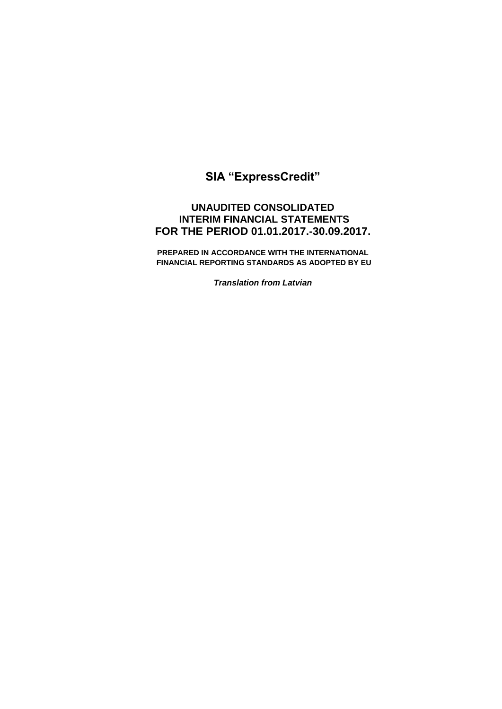# **SIA "ExpressCredit"**

# **UNAUDITED CONSOLIDATED INTERIM FINANCIAL STATEMENTS FOR THE PERIOD 01.01.2017.-30.09.2017.**

**PREPARED IN ACCORDANCE WITH THE INTERNATIONAL FINANCIAL REPORTING STANDARDS AS ADOPTED BY EU** 

*Translation from Latvian*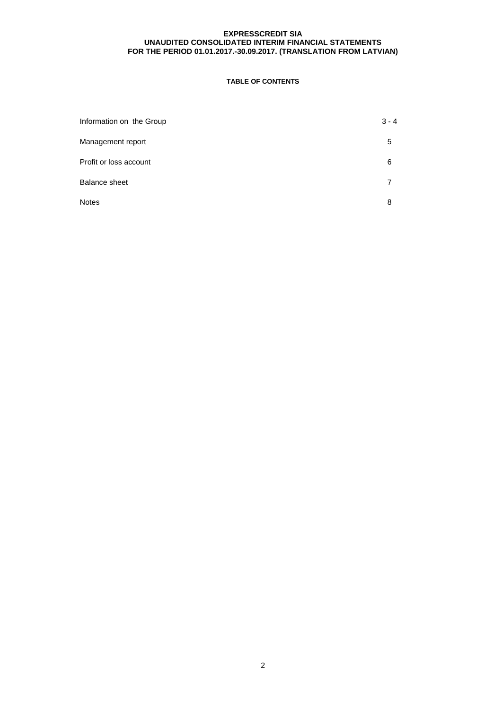# **TABLE OF CONTENTS**

| Information on the Group | $3 - 4$ |
|--------------------------|---------|
| Management report        | 5       |
| Profit or loss account   | 6       |
| <b>Balance sheet</b>     |         |
| <b>Notes</b>             | 8       |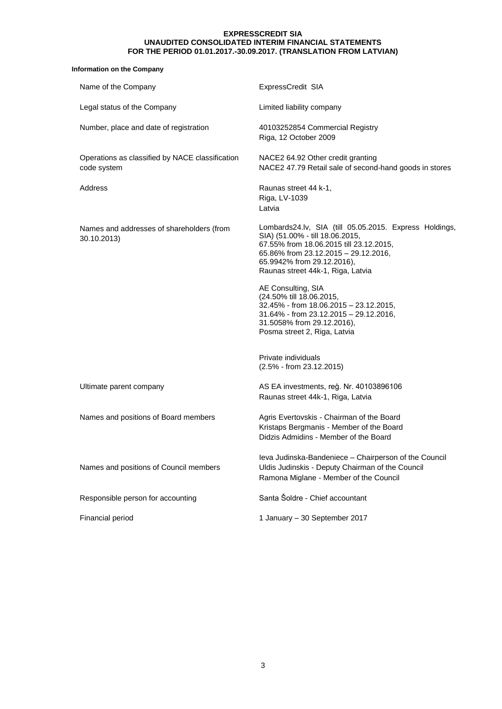## **Information on the Company**

| Name of the Company                                            | ExpressCredit SIA                                                                                                                                                                                                                               |
|----------------------------------------------------------------|-------------------------------------------------------------------------------------------------------------------------------------------------------------------------------------------------------------------------------------------------|
| Legal status of the Company                                    | Limited liability company                                                                                                                                                                                                                       |
| Number, place and date of registration                         | 40103252854 Commercial Registry<br>Riga, 12 October 2009                                                                                                                                                                                        |
| Operations as classified by NACE classification<br>code system | NACE2 64.92 Other credit granting<br>NACE2 47.79 Retail sale of second-hand goods in stores                                                                                                                                                     |
| Address                                                        | Raunas street 44 k-1,<br>Riga, LV-1039<br>Latvia                                                                                                                                                                                                |
| Names and addresses of shareholders (from<br>30.10.2013)       | Lombards24.lv, SIA (till 05.05.2015. Express Holdings,<br>SIA) (51.00% - till 18.06.2015,<br>67.55% from 18.06.2015 till 23.12.2015,<br>65.86% from 23.12.2015 - 29.12.2016,<br>65.9942% from 29.12.2016),<br>Raunas street 44k-1, Riga, Latvia |
|                                                                | AE Consulting, SIA<br>(24.50% till 18.06.2015,<br>32.45% - from 18.06.2015 - 23.12.2015,<br>31.64% - from 23.12.2015 - 29.12.2016,<br>31.5058% from 29.12.2016),<br>Posma street 2, Riga, Latvia                                                |
|                                                                | Private individuals<br>$(2.5\% - from 23.12.2015)$                                                                                                                                                                                              |
| Ultimate parent company                                        | AS EA investments, reg. Nr. 40103896106<br>Raunas street 44k-1, Riga, Latvia                                                                                                                                                                    |
| Names and positions of Board members                           | Agris Evertovskis - Chairman of the Board<br>Kristaps Bergmanis - Member of the Board<br>Didzis Admidins - Member of the Board                                                                                                                  |
| Names and positions of Council members                         | leva Judinska-Bandeniece - Chairperson of the Council<br>Uldis Judinskis - Deputy Chairman of the Council<br>Ramona Miglane - Member of the Council                                                                                             |
| Responsible person for accounting                              | Santa Šoldre - Chief accountant                                                                                                                                                                                                                 |
| Financial period                                               | 1 January - 30 September 2017                                                                                                                                                                                                                   |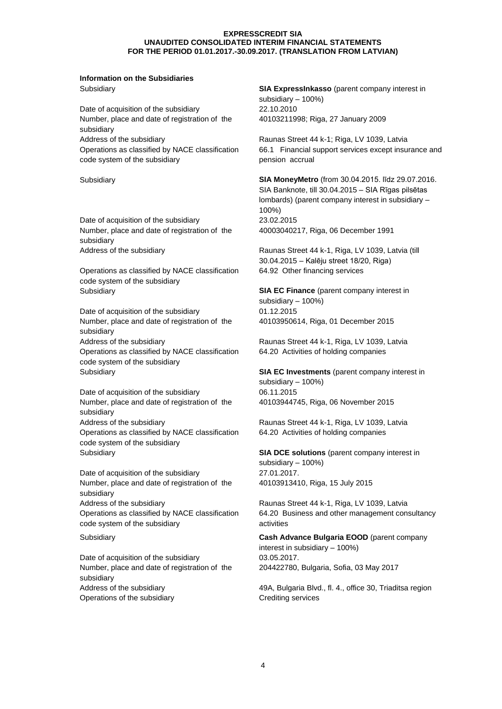# **Information on the Subsidiaries**

Date of acquisition of the subsidiary 22.10.2010 Number, place and date of registration of the subsidiary Address of the subsidiary extending the Raunas Street 44 k-1; Riga, LV 1039, Latvia Operations as classified by NACE classification code system of the subsidiary

Date of acquisition of the subsidiary 23.02.2015 Number, place and date of registration of the subsidiary

Operations as classified by NACE classification code system of the subsidiary Subsidiary **SIA EC Finance** (parent company interest in

Date of acquisition of the subsidiary 01.12.2015 Number, place and date of registration of the subsidiary Address of the subsidiary extended to the subsidiary Raunas Street 44 k-1, Riga, LV 1039, Latvia Operations as classified by NACE classification code system of the subsidiary

Date of acquisition of the subsidiary 06.11.2015 Number, place and date of registration of the subsidiary Address of the subsidiary extending the Raunas Street 44 k-1, Riga, LV 1039, Latvia Operations as classified by NACE classification code system of the subsidiary

Date of acquisition of the subsidiary 27.01.2017. Number, place and date of registration of the subsidiary Address of the subsidiary extending the Raunas Street 44 k-1, Riga, LV 1039, Latvia Operations as classified by NACE classification code system of the subsidiary

Date of acquisition of the subsidiary 03.05.2017. Number, place and date of registration of the subsidiary Operations of the subsidiary Crediting services

Subsidiary **SIA ExpressInkasso** (parent company interest in subsidiary – 100%) 40103211998; Riga, 27 January 2009

> 66.1 Financial support services except insurance and pension accrual

Subsidiary **SIA MoneyMetro** (from 30.04.2015. līdz 29.07.2016. SIA Banknote, till 30.04.2015 – SIA Rīgas pilsētas lombards) (parent company interest in subsidiary – 100%) 40003040217, Riga, 06 December 1991

Address of the subsidiary **Raunas Street 44 k-1, Riga, LV 1039, Latvia (till**) Address of the subsidiary 30.04.2015 – Kalēju street 18/20, Riga) 64.92 Other financing services

> subsidiary – 100%) 40103950614, Riga, 01 December 2015

> 64.20 Activities of holding companies

Subsidiary **SIA EC Investments** (parent company interest in subsidiary – 100%) 40103944745, Riga, 06 November 2015

64.20 Activities of holding companies

Subsidiary **SIA DCE solutions** (parent company interest in subsidiary – 100%) 40103913410, Riga, 15 July 2015

> 64.20 Business and other management consultancy activities

Subsidiary **Cash Advance Bulgaria EOOD** (parent company interest in subsidiary – 100%) 204422780, Bulgaria, Sofia, 03 May 2017

Address of the subsidiary extending the subsidiary 49A, Bulgaria Blvd., fl. 4., office 30, Triaditsa region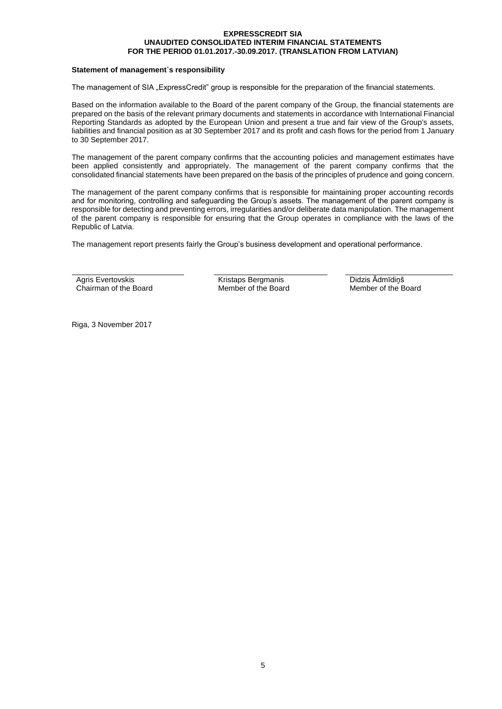#### **Statement of management`s responsibility**

The management of SIA "ExpressCredit" group is responsible for the preparation of the financial statements.

Based on the information available to the Board of the parent company of the Group, the financial statements are prepared on the basis of the relevant primary documents and statements in accordance with International Financial Reporting Standards as adopted by the European Union and present a true and fair view of the Group's assets, liabilities and financial position as at 30 September 2017 and its profit and cash flows for the period from 1 January to 30 September 2017.

The management of the parent company confirms that the accounting policies and management estimates have been applied consistently and appropriately. The management of the parent company confirms that the consolidated financial statements have been prepared on the basis of the principles of prudence and going concern.

The management of the parent company confirms that is responsible for maintaining proper accounting records and for monitoring, controlling and safeguarding the Group's assets. The management of the parent company is responsible for detecting and preventing errors, irregularities and/or deliberate data manipulation. The management of the parent company is responsible for ensuring that the Group operates in compliance with the laws of the Republic of Latvia.

The management report presents fairly the Group's business development and operational performance.

Agris Evertovskis Chairman of the Board Kristaps Bergmanis Member of the Board Didzis Ādmīdiņš Member of the Board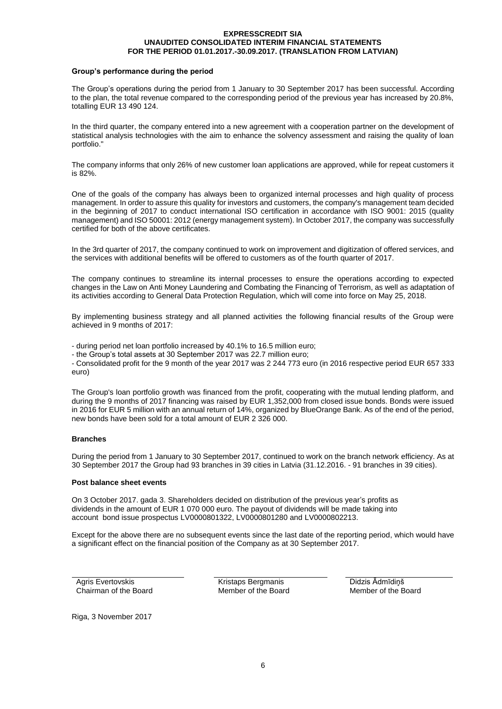#### **Group's performance during the period**

The Group's operations during the period from 1 January to 30 September 2017 has been successful. According to the plan, the total revenue compared to the corresponding period of the previous year has increased by 20.8%, totalling EUR 13 490 124.

In the third quarter, the company entered into a new agreement with a cooperation partner on the development of statistical analysis technologies with the aim to enhance the solvency assessment and raising the quality of loan portfolio."

The company informs that only 26% of new customer loan applications are approved, while for repeat customers it is 82%.

One of the goals of the company has always been to organized internal processes and high quality of process management. In order to assure this quality for investors and customers, the company's management team decided in the beginning of 2017 to conduct international ISO certification in accordance with ISO 9001: 2015 (quality management) and ISO 50001: 2012 (energy management system). In October 2017, the company was successfully certified for both of the above certificates.

In the 3rd quarter of 2017, the company continued to work on improvement and digitization of offered services, and the services with additional benefits will be offered to customers as of the fourth quarter of 2017.

The company continues to streamline its internal processes to ensure the operations according to expected changes in the Law on Anti Money Laundering and Combating the Financing of Terrorism, as well as adaptation of its activities according to General Data Protection Regulation, which will come into force on May 25, 2018.

By implementing business strategy and all planned activities the following financial results of the Group were achieved in 9 months of 2017:

- during period net loan portfolio increased by 40.1% to 16.5 million euro;

- the Group's total assets at 30 September 2017 was 22.7 million euro;

- Consolidated profit for the 9 month of the year 2017 was 2 244 773 euro (in 2016 respective period EUR 657 333 euro)

The Group's loan portfolio growth was financed from the profit, cooperating with the mutual lending platform, and during the 9 months of 2017 financing was raised by EUR 1,352,000 from closed issue bonds. Bonds were issued in 2016 for EUR 5 million with an annual return of 14%, organized by BlueOrange Bank. As of the end of the period, new bonds have been sold for a total amount of EUR 2 326 000.

#### **Branches**

During the period from 1 January to 30 September 2017, continued to work on the branch network efficiency. As at 30 September 2017 the Group had 93 branches in 39 cities in Latvia (31.12.2016. - 91 branches in 39 cities).

#### **Post balance sheet events**

On 3 October 2017. gada 3. Shareholders decided on distribution of the previous year's profits as dividends in the amount of EUR 1 070 000 euro. The payout of dividends will be made taking into account bond issue prospectus LV0000801322, LV0000801280 and LV0000802213.

Except for the above there are no subsequent events since the last date of the reporting period, which would have a significant effect on the financial position of the Company as at 30 September 2017.

Agris Evertovskis Chairman of the Board Kristaps Bergmanis Member of the Board Didzis Ādmīdiņš Member of the Board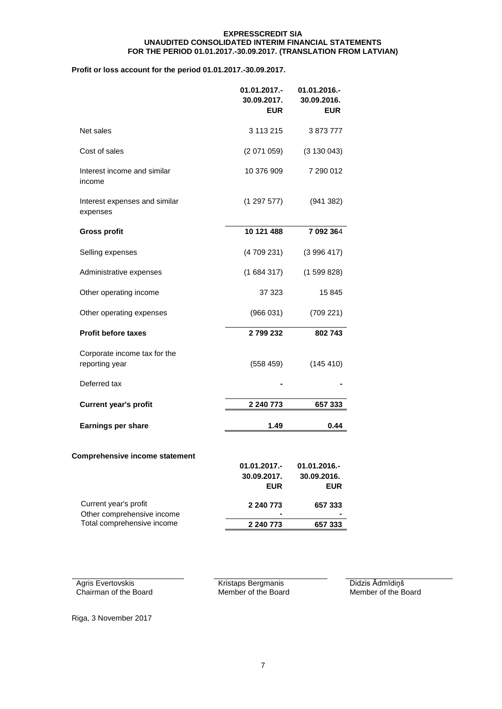#### **Profit or loss account for the period 01.01.2017.-30.09.2017.**

|                                                     | 01.01.2017.-<br>30.09.2017.<br><b>EUR</b> | 01.01.2016.-<br>30.09.2016.<br><b>EUR</b> |
|-----------------------------------------------------|-------------------------------------------|-------------------------------------------|
| Net sales                                           | 3 113 215                                 | 3873777                                   |
| Cost of sales                                       | (2071059)                                 | (3 130 043)                               |
| Interest income and similar<br>income               | 10 376 909                                | 7 290 012                                 |
| Interest expenses and similar<br>expenses           | (1297577)                                 | (941382)                                  |
| <b>Gross profit</b>                                 | 10 121 488                                | 7 092 364                                 |
| Selling expenses                                    | (4709231)                                 | (3996417)                                 |
| Administrative expenses                             | (1684317)                                 | (1599828)                                 |
| Other operating income                              | 37 323                                    | 15 845                                    |
| Other operating expenses                            | (966031)                                  | (709 221)                                 |
| <b>Profit before taxes</b>                          | 2799232                                   | 802743                                    |
| Corporate income tax for the<br>reporting year      | (558 459)                                 | (145 410)                                 |
| Deferred tax                                        |                                           |                                           |
| <b>Current year's profit</b>                        | 2 240 773                                 | 657 333                                   |
| <b>Earnings per share</b>                           | 1.49                                      | 0.44                                      |
| <b>Comprehensive income statement</b>               | 01.01.2017.-<br>30.09.2017.               | 01.01.2016.-<br>30.09.2016.               |
|                                                     | <b>EUR</b>                                | <b>EUR</b>                                |
| Current year's profit<br>Other comprehensive income | 2 240 773                                 | 657 333                                   |
| Total comprehensive income                          | 2 240 773                                 | 657 333                                   |

Agris Evertovskis Chairman of the Board Kristaps Bergmanis Member of the Board Didzis Ādmīdiņš Member of the Board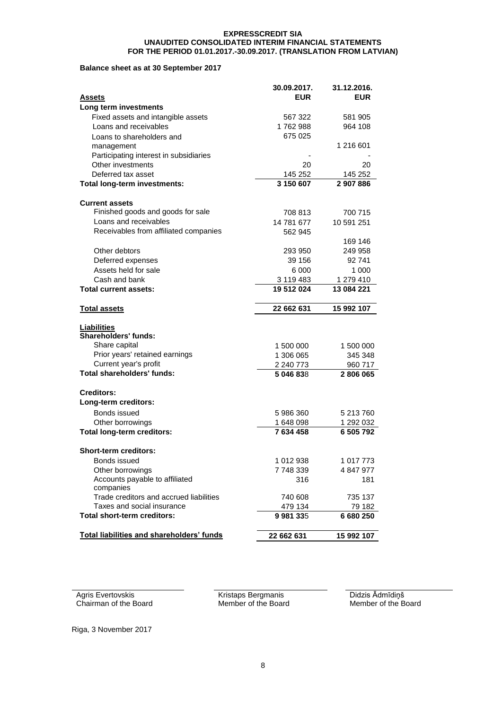#### **Balance sheet as at 30 September 2017**

|                                                  | 30.09.2017. | 31.12.2016. |
|--------------------------------------------------|-------------|-------------|
| <u>Assets</u>                                    | <b>EUR</b>  | <b>EUR</b>  |
| Long term investments                            |             |             |
| Fixed assets and intangible assets               | 567 322     | 581 905     |
| Loans and receivables                            | 1762988     | 964 108     |
| Loans to shareholders and                        | 675 025     |             |
| management                                       |             | 1 216 601   |
| Participating interest in subsidiaries           |             |             |
| Other investments                                | 20          | 20          |
| Deferred tax asset                               | 145 252     | 145 252     |
| Total long-term investments:                     | 3 150 607   | 2907886     |
| <b>Current assets</b>                            |             |             |
| Finished goods and goods for sale                | 708 813     | 700 715     |
| Loans and receivables                            | 14 781 677  | 10 591 251  |
| Receivables from affiliated companies            | 562 945     |             |
|                                                  |             | 169 146     |
| Other debtors                                    | 293 950     | 249 958     |
| Deferred expenses                                | 39 156      | 92741       |
| Assets held for sale                             | 6 0 0 0     | 1 000       |
| Cash and bank                                    | 3 119 483   | 1 279 410   |
| Total current assets:                            | 19 512 024  | 13 084 221  |
| <b>Total assets</b>                              | 22 662 631  | 15 992 107  |
| <b>Liabilities</b>                               |             |             |
| <b>Shareholders' funds:</b>                      |             |             |
| Share capital                                    | 1 500 000   | 1 500 000   |
| Prior years' retained earnings                   | 1 306 065   | 345 348     |
| Current year's profit                            | 2 240 773   | 960 717     |
| <b>Total shareholders' funds:</b>                | 5 046 838   | 2806065     |
| <b>Creditors:</b>                                |             |             |
| Long-term creditors:                             |             |             |
| Bonds issued                                     | 5986360     | 5 213 760   |
| Other borrowings                                 | 1 648 098   | 1 292 032   |
| <b>Total long-term creditors:</b>                | 7 634 458   | 6 505 792   |
| <b>Short-term creditors:</b>                     |             |             |
| Bonds issued                                     | 1 012 938   | 1 017 773   |
| Other borrowings                                 | 7 748 339   | 4 847 977   |
| Accounts payable to affiliated                   | 316         | 181         |
| companies                                        |             |             |
| Trade creditors and accrued liabilities          | 740 608     | 735 137     |
| Taxes and social insurance                       | 479 134     | 79 182      |
| <b>Total short-term creditors:</b>               | 9981335     | 6 680 250   |
| <b>Total liabilities and shareholders' funds</b> | 22 662 631  | 15 992 107  |

Agris Evertovskis Chairman of the Board Kristaps Bergmanis Member of the Board Didzis Ādmīdiņš Member of the Board